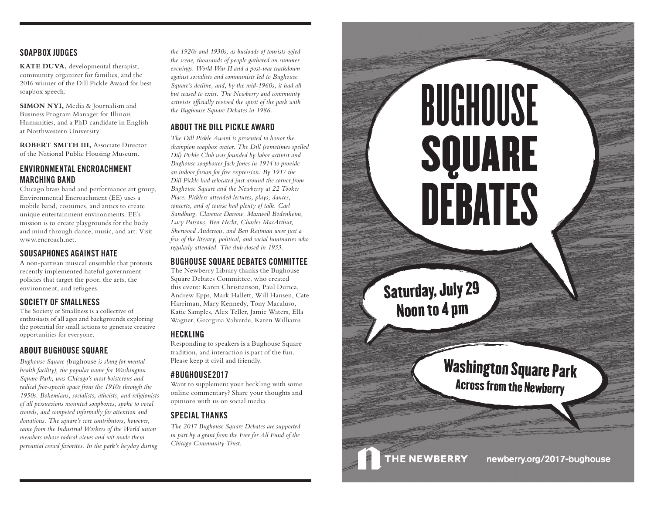# **SOAPBOX JUDGES**

**KATE DUVA,** developmental therapist, community organizer for families, and the 2016 winner of the Dill Pickle Award for best soapbox speech.

**SIMON NYI,** Media & Journalism and Business Program Manager for Illinois Humanities, and a PhD candidate in English at Northwestern University.

**ROBERT SMITH III,** Associate Director of the National Public Housing Museum.

# **ENVIRONMENTAL ENCROACHMENT MARCHING BAND**

Chicago brass band and performance art group, Environmental Encroachment (EE) uses a mobile band, costumes, and antics to create unique entertainment environments. EE's mission is to create playgrounds for the body and mind through dance, music, and art. Visit www.encroach.net.

# **SOUSAPHONES AGAINST HATE**

A non-partisan musical ensemble that protests recently implemented hateful government policies that target the poor, the arts, the environment, and refugees.

# **SOCIETY OF SMALLNESS**

The Society of Smallness is a collective of enthusiasts of all ages and backgrounds exploring the potential for small actions to generate creative opportunities for everyone.

# **ABOUT BUGHOUSE SQUARE**

*Bughouse Square (*bughouse *is slang for mental health facility), the popular name for Washington Square Park, was Chicago's most boisterous and radical free-speech space from the 1910s through the 1950s. Bohemians, socialists, atheists, and religionists of all persuasions mounted soapboxes, spoke to vocal crowds, and competed informally for attention and donations. The square's core contributors, however, came from the Industrial Workers of the World union members whose radical views and wit made them perennial crowd favorites. In the park's heyday during*  *the 1920s and 1930s, as busloads of tourists ogled the scene, thousands of people gathered on summer evenings. World War II and a post-war crackdown against socialists and communists led to Bughouse Square's decline, and, by the mid-1960s, it had all but ceased to exist. The Newberry and community activists officially revived the spirit of the park with the Bughouse Square Debates in 1986.*

# **ABOUT THE DILL PICKLE AWARD**

*The Dill Pickle Award is presented to honor the champion soapbox orator. The Dill (sometimes spelled Dil) Pickle Club was founded by labor activist and Bughouse soapboxer Jack Jones in 1914 to provide an indoor forum for free expression. By 1917 the Dill Pickle had relocated just around the corner from Bughouse Square and the Newberry at 22 Tooker Place. Picklers attended lectures, plays, dances, concerts, and of course had plenty of talk. Carl Sandburg, Clarence Darrow, Maxwell Bodenheim, Lucy Parsons, Ben Hecht, Charles MacArthur, Sherwood Anderson, and Ben Reitman were just a few of the literary, political, and social luminaries who regularly attended. The club closed in 1933.*

# **BUGHOUSE SQUARE DEBATES COMMITTEE**

The Newberry Library thanks the Bughouse Square Debates Committee, who created this event: Karen Christianson, Paul Durica, Andrew Epps, Mark Hallett, Will Hansen, Cate Harriman, Mary Kennedy, Tony Macaluso, Katie Samples, Alex Teller, Jamie Waters, Ella Wagner, Georgina Valverde, Karen Williams

### **HECKLING**

Responding to speakers is a Bughouse Square tradition, and interaction is part of the fun. Please keep it civil and friendly.

# **#BUGHOUSE2017**

Want to supplement your heckling with some online commentary? Share your thoughts and opinions with us on social media.

# **SPECIAL THANKS**

*The 2017 Bughouse Square Debates are supported in part by a grant from the Free for All Fund of the Chicago Community Trust.*